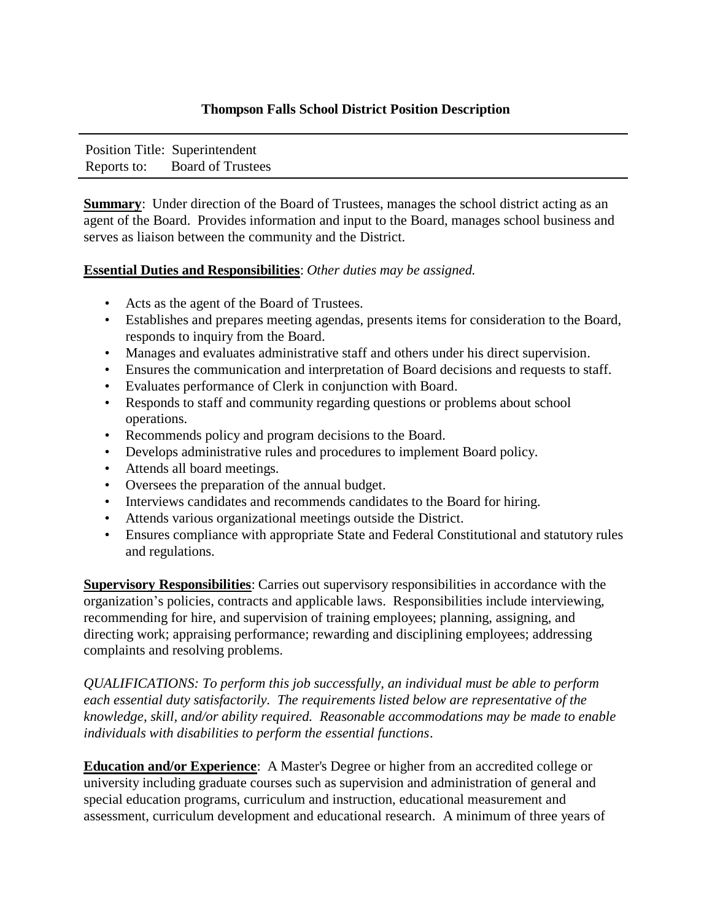## **Thompson Falls School District Position Description**

| Position Title: Superintendent |
|--------------------------------|
| Reports to: Board of Trustees  |

**Summary:** Under direction of the Board of Trustees, manages the school district acting as an agent of the Board. Provides information and input to the Board, manages school business and serves as liaison between the community and the District.

## **Essential Duties and Responsibilities**: *Other duties may be assigned.*

- Acts as the agent of the Board of Trustees.
- Establishes and prepares meeting agendas, presents items for consideration to the Board, responds to inquiry from the Board.
- Manages and evaluates administrative staff and others under his direct supervision.
- Ensures the communication and interpretation of Board decisions and requests to staff.
- Evaluates performance of Clerk in conjunction with Board.
- Responds to staff and community regarding questions or problems about school operations.
- Recommends policy and program decisions to the Board.
- Develops administrative rules and procedures to implement Board policy.
- Attends all board meetings.
- Oversees the preparation of the annual budget.
- Interviews candidates and recommends candidates to the Board for hiring.
- Attends various organizational meetings outside the District.
- Ensures compliance with appropriate State and Federal Constitutional and statutory rules and regulations.

**Supervisory Responsibilities**: Carries out supervisory responsibilities in accordance with the organization's policies, contracts and applicable laws. Responsibilities include interviewing, recommending for hire, and supervision of training employees; planning, assigning, and directing work; appraising performance; rewarding and disciplining employees; addressing complaints and resolving problems.

*QUALIFICATIONS: To perform this job successfully, an individual must be able to perform each essential duty satisfactorily. The requirements listed below are representative of the knowledge, skill, and/or ability required. Reasonable accommodations may be made to enable individuals with disabilities to perform the essential functions*.

**Education and/or Experience**: A Master's Degree or higher from an accredited college or university including graduate courses such as supervision and administration of general and special education programs, curriculum and instruction, educational measurement and assessment, curriculum development and educational research. A minimum of three years of